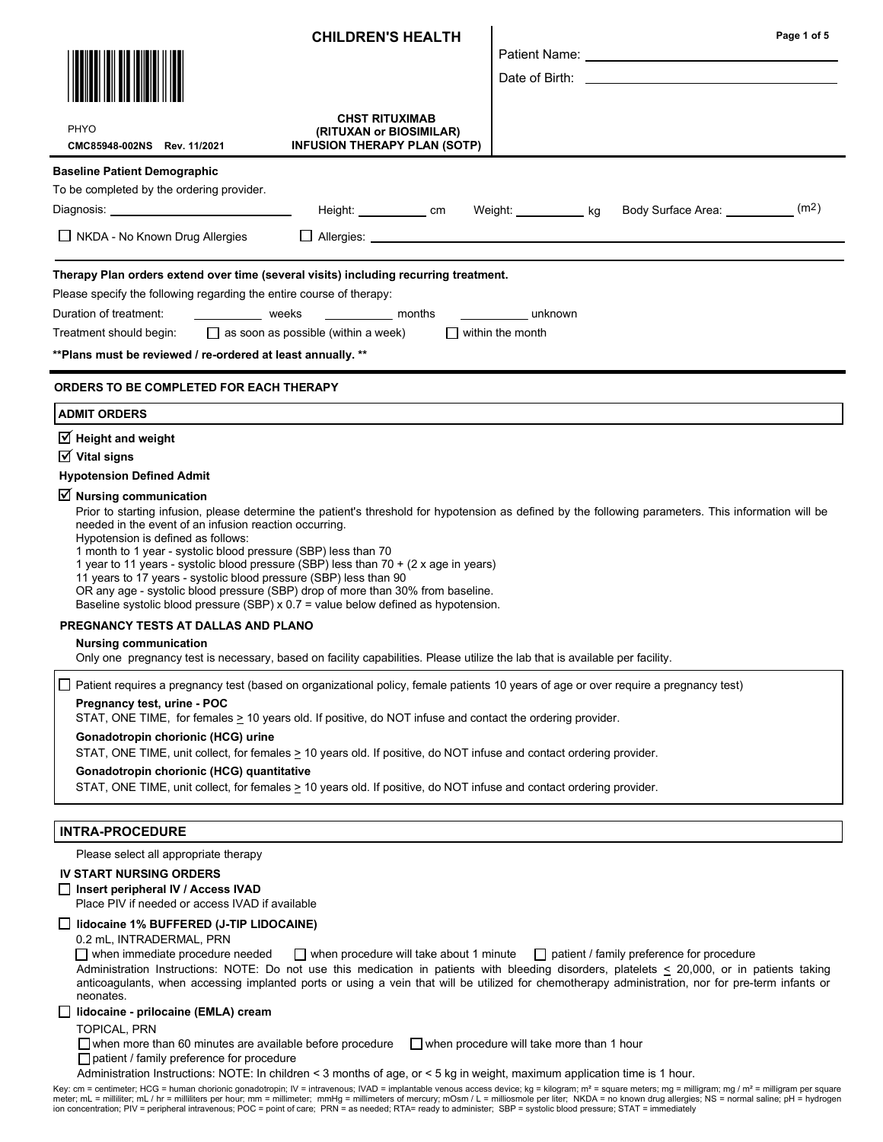|                                                                                                                                                                                                                                                                                                                                                                                                                                                                                                                                                                                                                   | <b>CHILDREN'S HEALTH</b>                                                                |                                                  | Page 1 of 5                                                                                                                                                                                                                                                                                                                                    |
|-------------------------------------------------------------------------------------------------------------------------------------------------------------------------------------------------------------------------------------------------------------------------------------------------------------------------------------------------------------------------------------------------------------------------------------------------------------------------------------------------------------------------------------------------------------------------------------------------------------------|-----------------------------------------------------------------------------------------|--------------------------------------------------|------------------------------------------------------------------------------------------------------------------------------------------------------------------------------------------------------------------------------------------------------------------------------------------------------------------------------------------------|
|                                                                                                                                                                                                                                                                                                                                                                                                                                                                                                                                                                                                                   |                                                                                         |                                                  |                                                                                                                                                                                                                                                                                                                                                |
|                                                                                                                                                                                                                                                                                                                                                                                                                                                                                                                                                                                                                   |                                                                                         |                                                  | Date of Birth: the contract of the contract of the contract of the contract of the contract of the contract of the contract of the contract of the contract of the contract of the contract of the contract of the contract of                                                                                                                 |
| PHYO<br>CMC85948-002NS Rev. 11/2021                                                                                                                                                                                                                                                                                                                                                                                                                                                                                                                                                                               | <b>CHST RITUXIMAB</b><br>(RITUXAN or BIOSIMILAR)<br><b>INFUSION THERAPY PLAN (SOTP)</b> |                                                  |                                                                                                                                                                                                                                                                                                                                                |
| <b>Baseline Patient Demographic</b>                                                                                                                                                                                                                                                                                                                                                                                                                                                                                                                                                                               |                                                                                         |                                                  |                                                                                                                                                                                                                                                                                                                                                |
| To be completed by the ordering provider.                                                                                                                                                                                                                                                                                                                                                                                                                                                                                                                                                                         |                                                                                         |                                                  |                                                                                                                                                                                                                                                                                                                                                |
|                                                                                                                                                                                                                                                                                                                                                                                                                                                                                                                                                                                                                   | Height: ____________ cm Weight: ___________ kg                                          |                                                  | (m <sup>2</sup> )<br>Body Surface Area: __________                                                                                                                                                                                                                                                                                             |
| $\Box$ NKDA - No Known Drug Allergies                                                                                                                                                                                                                                                                                                                                                                                                                                                                                                                                                                             |                                                                                         |                                                  |                                                                                                                                                                                                                                                                                                                                                |
| Therapy Plan orders extend over time (several visits) including recurring treatment.<br>Please specify the following regarding the entire course of therapy:<br>Duration of treatment:<br>Treatment should begin:                                                                                                                                                                                                                                                                                                                                                                                                 | weeks __________ months<br>$\Box$ as soon as possible (within a week)                   | unknown<br>$\Box$ within the month               |                                                                                                                                                                                                                                                                                                                                                |
| ** Plans must be reviewed / re-ordered at least annually. **                                                                                                                                                                                                                                                                                                                                                                                                                                                                                                                                                      |                                                                                         |                                                  |                                                                                                                                                                                                                                                                                                                                                |
| <b>ORDERS TO BE COMPLETED FOR EACH THERAPY</b>                                                                                                                                                                                                                                                                                                                                                                                                                                                                                                                                                                    |                                                                                         |                                                  |                                                                                                                                                                                                                                                                                                                                                |
| <b>ADMIT ORDERS</b>                                                                                                                                                                                                                                                                                                                                                                                                                                                                                                                                                                                               |                                                                                         |                                                  |                                                                                                                                                                                                                                                                                                                                                |
| $\sqrt{ }$ Height and weight<br>$\overline{\mathsf{M}}$ Vital signs                                                                                                                                                                                                                                                                                                                                                                                                                                                                                                                                               |                                                                                         |                                                  |                                                                                                                                                                                                                                                                                                                                                |
| <b>Hypotension Defined Admit</b>                                                                                                                                                                                                                                                                                                                                                                                                                                                                                                                                                                                  |                                                                                         |                                                  |                                                                                                                                                                                                                                                                                                                                                |
| $\triangledown$ Nursing communication<br>needed in the event of an infusion reaction occurring.<br>Hypotension is defined as follows:<br>1 month to 1 year - systolic blood pressure (SBP) less than 70<br>1 year to 11 years - systolic blood pressure (SBP) less than 70 + (2 x age in years)<br>11 years to 17 years - systolic blood pressure (SBP) less than 90<br>OR any age - systolic blood pressure (SBP) drop of more than 30% from baseline.<br>Baseline systolic blood pressure (SBP) x 0.7 = value below defined as hypotension.                                                                     |                                                                                         |                                                  | Prior to starting infusion, please determine the patient's threshold for hypotension as defined by the following parameters. This information will be                                                                                                                                                                                          |
| PREGNANCY TESTS AT DALLAS AND PLANO                                                                                                                                                                                                                                                                                                                                                                                                                                                                                                                                                                               |                                                                                         |                                                  |                                                                                                                                                                                                                                                                                                                                                |
| <b>Nursing communication</b><br>Only one pregnancy test is necessary, based on facility capabilities. Please utilize the lab that is available per facility.                                                                                                                                                                                                                                                                                                                                                                                                                                                      |                                                                                         |                                                  |                                                                                                                                                                                                                                                                                                                                                |
| Patient requires a pregnancy test (based on organizational policy, female patients 10 years of age or over require a pregnancy test)<br>Pregnancy test, urine - POC<br>STAT, ONE TIME, for females > 10 years old. If positive, do NOT infuse and contact the ordering provider.<br>Gonadotropin chorionic (HCG) urine<br>STAT, ONE TIME, unit collect, for females > 10 years old. If positive, do NOT infuse and contact ordering provider.<br>Gonadotropin chorionic (HCG) quantitative<br>STAT, ONE TIME, unit collect, for females > 10 years old. If positive, do NOT infuse and contact ordering provider. |                                                                                         |                                                  |                                                                                                                                                                                                                                                                                                                                                |
| <b>INTRA-PROCEDURE</b>                                                                                                                                                                                                                                                                                                                                                                                                                                                                                                                                                                                            |                                                                                         |                                                  |                                                                                                                                                                                                                                                                                                                                                |
| Please select all appropriate therapy                                                                                                                                                                                                                                                                                                                                                                                                                                                                                                                                                                             |                                                                                         |                                                  |                                                                                                                                                                                                                                                                                                                                                |
| <b>IV START NURSING ORDERS</b>                                                                                                                                                                                                                                                                                                                                                                                                                                                                                                                                                                                    |                                                                                         |                                                  |                                                                                                                                                                                                                                                                                                                                                |
| ∐ Insert peripheral IV / Access IVAD<br>Place PIV if needed or access IVAD if available                                                                                                                                                                                                                                                                                                                                                                                                                                                                                                                           |                                                                                         |                                                  |                                                                                                                                                                                                                                                                                                                                                |
| lidocaine 1% BUFFERED (J-TIP LIDOCAINE)                                                                                                                                                                                                                                                                                                                                                                                                                                                                                                                                                                           |                                                                                         |                                                  |                                                                                                                                                                                                                                                                                                                                                |
| 0.2 mL, INTRADERMAL, PRN<br>when immediate procedure needed<br>neonates.                                                                                                                                                                                                                                                                                                                                                                                                                                                                                                                                          | when procedure will take about 1 minute                                                 |                                                  | patient / family preference for procedure<br>Administration Instructions: NOTE: Do not use this medication in patients with bleeding disorders, platelets < 20,000, or in patients taking<br>anticoagulants, when accessing implanted ports or using a vein that will be utilized for chemotherapy administration, nor for pre-term infants or |
| lidocaine - prilocaine (EMLA) cream                                                                                                                                                                                                                                                                                                                                                                                                                                                                                                                                                                               |                                                                                         |                                                  |                                                                                                                                                                                                                                                                                                                                                |
| <b>TOPICAL, PRN</b><br>$\Box$ when more than 60 minutes are available before procedure<br>$\Box$ patient / family preference for procedure                                                                                                                                                                                                                                                                                                                                                                                                                                                                        |                                                                                         | $\Box$ when procedure will take more than 1 hour |                                                                                                                                                                                                                                                                                                                                                |

Administration Instructions: NOTE: In children < 3 months of age, or < 5 kg in weight, maximum application time is 1 hour.

Key: cm = centimeter; HCG = human chorionic gonadotropin; IV = intravenous; IVAD = implantable venous access device; kg = kilogram; mª = square meters; mg = milligram; mg / mª = milligram per square<br>meter; mL = milliliter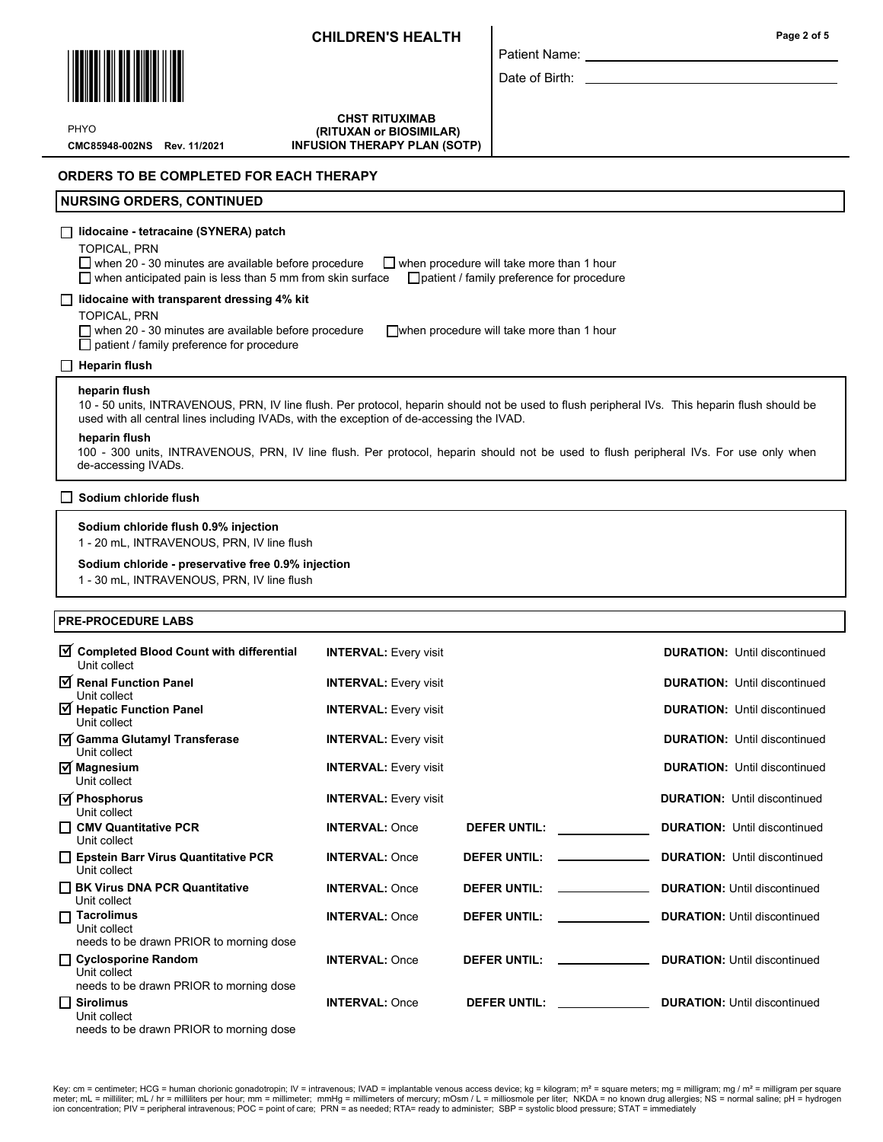

Patient Name:

Date of Birth:

CMC85948-002NS Rev. 11/2021 PHYO

CHST RITUXIMAB (RITUXAN or BIOSIMILAR) INFUSION THERAPY PLAN (SOTP)

## ORDERS TO BE COMPLETED FOR EACH THERAPY

### NURSING ORDERS, CONTINUED

## lidocaine - tetracaine (SYNERA) patch

TOPICAL, PRN

 $\Box$  when 20 - 30 minutes are available before procedure  $\Box$  when procedure will take more than 1 hour

 $\Box$  when anticipated pain is less than 5 mm from skin surface  $\Box$  patient / family preference for procedure

### $\Box$  lidocaine with transparent dressing 4% kit

TOPICAL, PRN

 $\Box$  when 20 - 30 minutes are available before procedure  $\Box$  when procedure will take more than 1 hour  $\overline{\Box}$  patient / family preference for procedure

### $\Box$  Heparin flush

### heparin flush

10 - 50 units, INTRAVENOUS, PRN, IV line flush. Per protocol, heparin should not be used to flush peripheral IVs. This heparin flush should be used with all central lines including IVADs, with the exception of de-accessing the IVAD.

#### heparin flush

100 - 300 units, INTRAVENOUS, PRN, IV line flush. Per protocol, heparin should not be used to flush peripheral IVs. For use only when de-accessing IVADs.

### $\Box$  Sodium chloride flush

### Sodium chloride flush 0.9% injection

1 - 20 mL, INTRAVENOUS, PRN, IV line flush

### Sodium chloride - preservative free 0.9% injection

1 - 30 mL, INTRAVENOUS, PRN, IV line flush

### PRE-PROCEDURE LABS

| ☑ Completed Blood Count with differential<br>Unit collect                        | <b>INTERVAL: Every visit</b> |                                                                                                                | <b>DURATION:</b> Until discontinued |
|----------------------------------------------------------------------------------|------------------------------|----------------------------------------------------------------------------------------------------------------|-------------------------------------|
| Renal Function Panel<br>Unit collect                                             | <b>INTERVAL: Every visit</b> |                                                                                                                | <b>DURATION:</b> Until discontinued |
| $\triangledown$ Hepatic Function Panel<br>Unit collect                           | <b>INTERVAL: Every visit</b> |                                                                                                                | <b>DURATION:</b> Until discontinued |
| <b>Ø</b> Gamma Glutamyl Transferase<br>Unit collect                              | <b>INTERVAL:</b> Every visit |                                                                                                                | <b>DURATION:</b> Until discontinued |
| $\overline{\triangleleft}$ Magnesium<br>Unit collect                             | <b>INTERVAL:</b> Every visit |                                                                                                                | <b>DURATION:</b> Until discontinued |
| $\overline{M}$ Phosphorus<br>Unit collect                                        | <b>INTERVAL:</b> Every visit |                                                                                                                | <b>DURATION: Until discontinued</b> |
| $\Box$ CMV Quantitative PCR<br>Unit collect                                      | <b>INTERVAL: Once</b>        | <b>DEFER UNTIL:</b>                                                                                            | <b>DURATION:</b> Until discontinued |
| $\Box$ Epstein Barr Virus Quantitative PCR<br>Unit collect                       | <b>INTERVAL: Once</b>        | <b>DEFER UNTIL:</b>                                                                                            | <b>DURATION:</b> Until discontinued |
| $\Box$ BK Virus DNA PCR Quantitative<br>Unit collect                             | <b>INTERVAL: Once</b>        | DEFER UNTIL: _____________                                                                                     | <b>DURATION: Until discontinued</b> |
| $\Box$ Tacrolimus<br>Unit collect<br>needs to be drawn PRIOR to morning dose     | <b>INTERVAL: Once</b>        | <b>DEFER UNTIL:</b>                                                                                            | <b>DURATION: Until discontinued</b> |
| □ Cyclosporine Random<br>Unit collect<br>needs to be drawn PRIOR to morning dose | <b>INTERVAL: Once</b>        | DEFER UNTIL: _____________                                                                                     | <b>DURATION: Until discontinued</b> |
| $\Box$ Sirolimus<br>Unit collect                                                 | <b>INTERVAL: Once</b>        | DEFER UNTIL: THE STATE OF THE STATE OF THE STATE OF THE STATE OF THE STATE OF THE STATE OF THE STATE OF THE ST | <b>DURATION: Until discontinued</b> |

needs to be drawn PRIOR to morning dose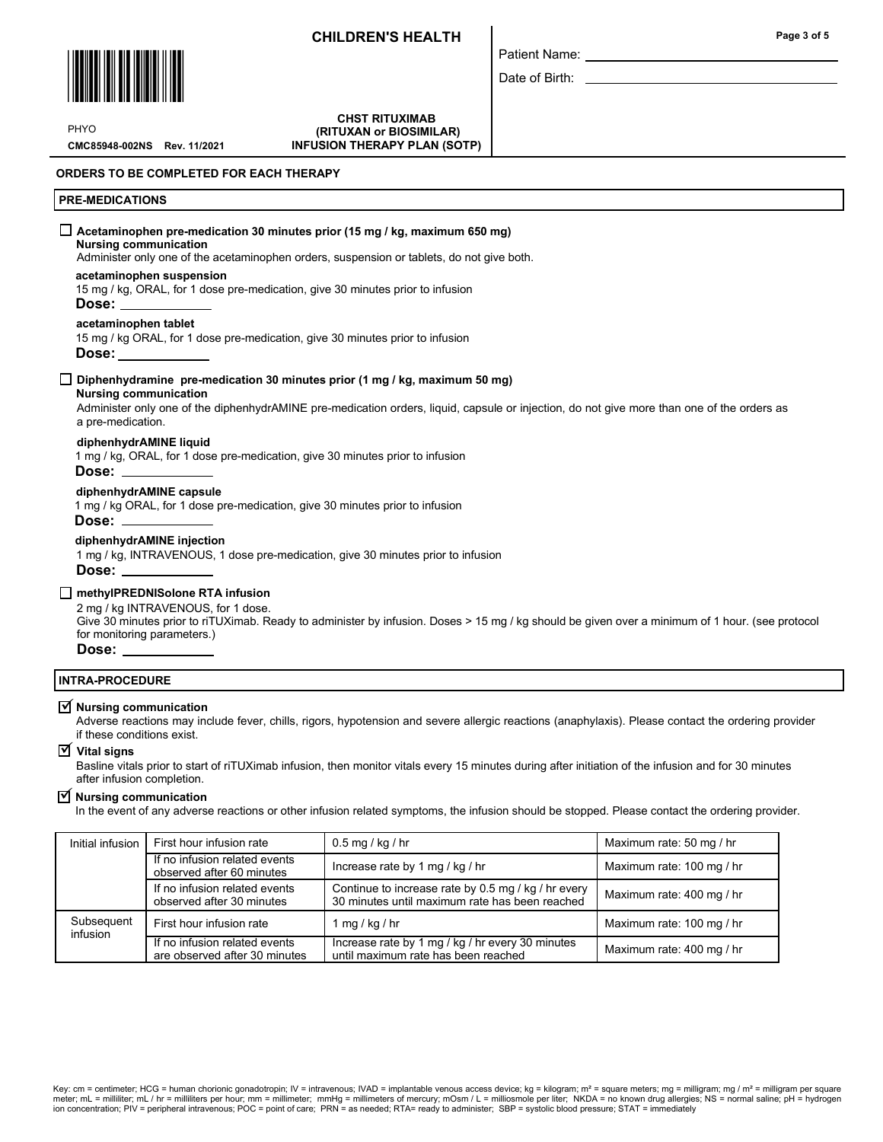Patient Name: Date of Birth:



PHYO

CMC85948-002NS Rev. 11/2021

CHST RITUXIMAB (RITUXAN or BIOSIMILAR) INFUSION THERAPY PLAN (SOTP)

### ORDERS TO BE COMPLETED FOR EACH THERAPY

### PRE-MEDICATIONS

### $\Box$  Acetaminophen pre-medication 30 minutes prior (15 mg / kg, maximum 650 mg)

## Nursing communication

Administer only one of the acetaminophen orders, suspension or tablets, do not give both.

#### acetaminophen suspension

15 mg / kg, ORAL, for 1 dose pre-medication, give 30 minutes prior to infusion

#### Dose:

acetaminophen tablet

15 mg / kg ORAL, for 1 dose pre-medication, give 30 minutes prior to infusion Dose:

#### $\Box$  Diphenhydramine pre-medication 30 minutes prior (1 mg / kg, maximum 50 mg)

#### Nursing communication

Administer only one of the diphenhydrAMINE pre-medication orders, liquid, capsule or injection, do not give more than one of the orders as a pre-medication.

### diphenhydrAMINE liquid

1 mg / kg, ORAL, for 1 dose pre-medication, give 30 minutes prior to infusion

#### Dose:

#### diphenhydrAMINE capsule

1 mg / kg ORAL, for 1 dose pre-medication, give 30 minutes prior to infusion

### Dose:

#### diphenhydrAMINE injection

1 mg / kg, INTRAVENOUS, 1 dose pre-medication, give 30 minutes prior to infusion Dose:

#### □ methyIPREDNISolone RTA infusion

#### 2 mg / kg INTRAVENOUS, for 1 dose.

Give 30 minutes prior to riTUXimab. Ready to administer by infusion. Doses > 15 mg / kg should be given over a minimum of 1 hour. (see protocol for monitoring parameters.)

# Dose:

### INTRA-PROCEDURE

# $\overline{\mathbf{y}}$  Nursing communication

Adverse reactions may include fever, chills, rigors, hypotension and severe allergic reactions (anaphylaxis). Please contact the ordering provider if these conditions exist.

## Vital signs

Basline vitals prior to start of riTUXimab infusion, then monitor vitals every 15 minutes during after initiation of the infusion and for 30 minutes after infusion completion.

# $\overline{\mathbf{y}}$  Nursing communication

In the event of any adverse reactions or other infusion related symptoms, the infusion should be stopped. Please contact the ordering provider.

| Initial infusion       | First hour infusion rate                                       | $0.5$ mg / kg / hr                                                                                    | Maximum rate: 50 mg / hr  |
|------------------------|----------------------------------------------------------------|-------------------------------------------------------------------------------------------------------|---------------------------|
|                        | If no infusion related events<br>observed after 60 minutes     | Increase rate by 1 mg / kg / hr                                                                       | Maximum rate: 100 mg / hr |
|                        | If no infusion related events<br>observed after 30 minutes     | Continue to increase rate by 0.5 mg / kg / hr every<br>30 minutes until maximum rate has been reached | Maximum rate: 400 mg / hr |
| Subsequent<br>infusion | First hour infusion rate                                       | $\log$ / kg / hr                                                                                      | Maximum rate: 100 mg / hr |
|                        | If no infusion related events<br>are observed after 30 minutes | Increase rate by 1 mg / kg / hr every 30 minutes<br>until maximum rate has been reached               | Maximum rate: 400 mg / hr |

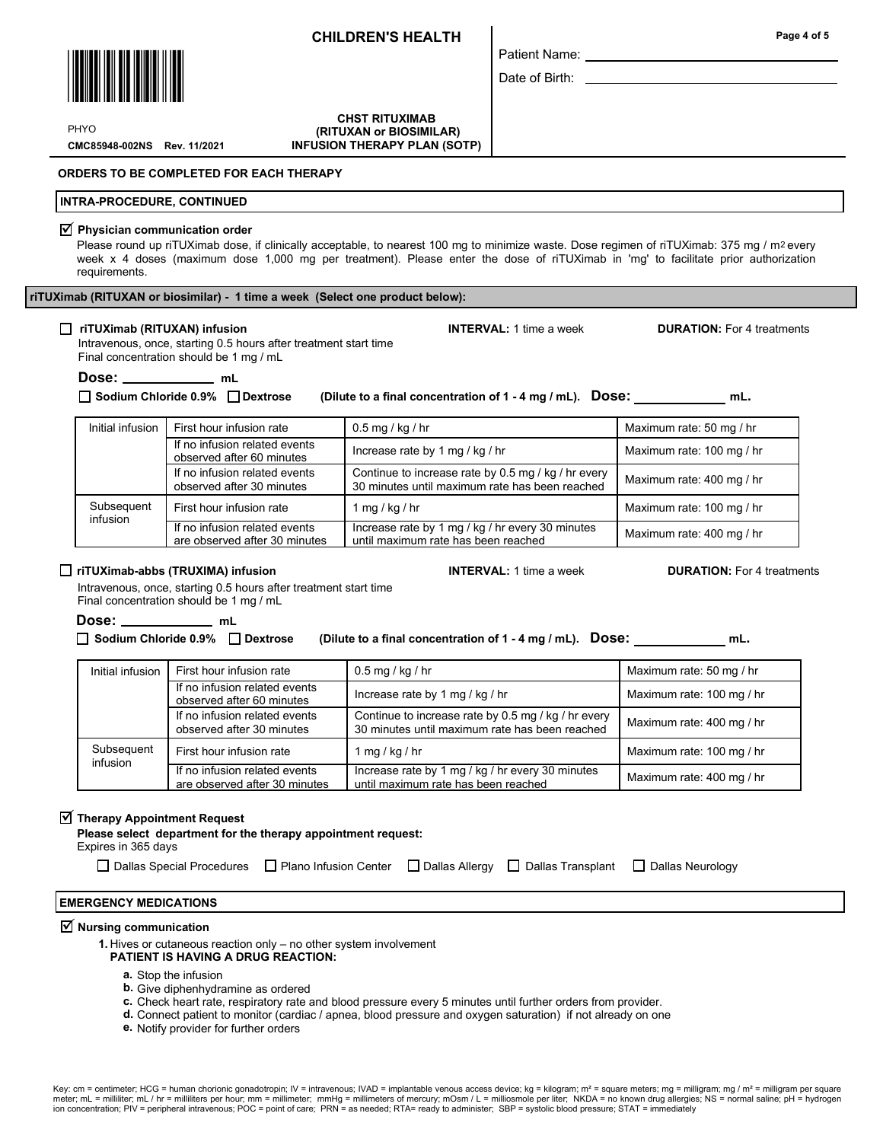CHST RITUXIMAB (RITUXAN or BIOSIMILAR) INFUSION THERAPY PLAN (SOTP) Date of Birth: L

Patient Name:

PHYO

CMC85948-002NS Rev. 11/2021

ORDERS TO BE COMPLETED FOR EACH THERAPY

#### INTRA-PROCEDURE, CONTINUED

#### $\Psi$  Physician communication order

Please round up riTUXimab dose, if clinically acceptable, to nearest 100 mg to minimize waste. Dose regimen of riTUXimab: 375 mg / m² every week x 4 doses (maximum dose 1,000 mg per treatment). Please enter the dose of riTUXimab in 'mg' to facilitate prior authorization requirements.

### □ riTUXimab (RITUXAN) infusion INTERVAL: 1 time a week DURATION: For 4 treatments

Intravenous, once, starting 0.5 hours after treatment start time Final concentration should be 1 mg / mL

Dose: \_\_\_\_\_\_\_\_\_\_\_\_ mL

 $\Box$  Sodium Chloride 0.9%  $\Box$  Dextrose (Dilute to a final concentration of 1 - 4 mg / mL). Dose: \_\_\_\_\_\_\_\_\_\_\_\_\_\_ mL.

| Initial infusion       | First hour infusion rate                                       | $0.5$ mg / kg / hr                                                                                    | Maximum rate: 50 mg / hr  |
|------------------------|----------------------------------------------------------------|-------------------------------------------------------------------------------------------------------|---------------------------|
|                        | If no infusion related events<br>observed after 60 minutes     | Increase rate by 1 mg / kg / hr                                                                       | Maximum rate: 100 mg / hr |
|                        | If no infusion related events<br>observed after 30 minutes     | Continue to increase rate by 0.5 mg / kg / hr every<br>30 minutes until maximum rate has been reached | Maximum rate: 400 mg / hr |
| Subsequent<br>infusion | First hour infusion rate                                       | 1 mg / kg / hr                                                                                        | Maximum rate: 100 mg / hr |
|                        | If no infusion related events<br>are observed after 30 minutes | Increase rate by 1 mg / kg / hr every 30 minutes<br>until maximum rate has been reached               | Maximum rate: 400 mg / hr |

### $\Box$  riTUXimab-abbs (TRUXIMA) infusion  $\Box$  INTERVAL: 1 time a week DURATION: For 4 treatments

Intravenous, once, starting 0.5 hours after treatment start time Final concentration should be 1 mg / mL

Dose: mL

 $\Box$  Sodium Chloride 0.9%  $\Box$  Dextrose (Dilute to a final concentration of 1 - 4 mg / mL). DOSe: mL.

| Initial infusion       | First hour infusion rate                                       | $0.5$ mg / kg / hr                                                                                    | Maximum rate: 50 mg / hr  |
|------------------------|----------------------------------------------------------------|-------------------------------------------------------------------------------------------------------|---------------------------|
|                        | If no infusion related events<br>observed after 60 minutes     | Increase rate by 1 mg / kg / hr                                                                       | Maximum rate: 100 mg / hr |
|                        | If no infusion related events<br>observed after 30 minutes     | Continue to increase rate by 0.5 mg / kg / hr every<br>30 minutes until maximum rate has been reached | Maximum rate: 400 mg / hr |
| Subsequent<br>infusion | First hour infusion rate                                       | mg/kg/hr                                                                                              | Maximum rate: 100 mg / hr |
|                        | If no infusion related events<br>are observed after 30 minutes | Increase rate by 1 mg / kg / hr every 30 minutes<br>until maximum rate has been reached               | Maximum rate: 400 mg / hr |

# $\overline{\textsf{y}}$  Therapy Appointment Request

Please select department for the therapy appointment request:

 Expires in 365 days  $\Box$  Dallas Special Procedures  $\Box$  Plano Infusion Center  $\Box$  Dallas Allergy  $\Box$  Dallas Transplant  $\Box$  Dallas Neurology

## EMERGENCY MEDICATIONS

# $\overline{\mathbf{y}}$  Nursing communication

- 1. Hives or cutaneous reaction only no other system involvement PATIENT IS HAVING A DRUG REACTION:
	- a. Stop the infusion
	- **b.** Give diphenhydramine as ordered
	- c. Check heart rate, respiratory rate and blood pressure every 5 minutes until further orders from provider.
- d. Connect patient to monitor (cardiac / apnea, blood pressure and oxygen saturation) if not already on one
	- e. Notify provider for further orders